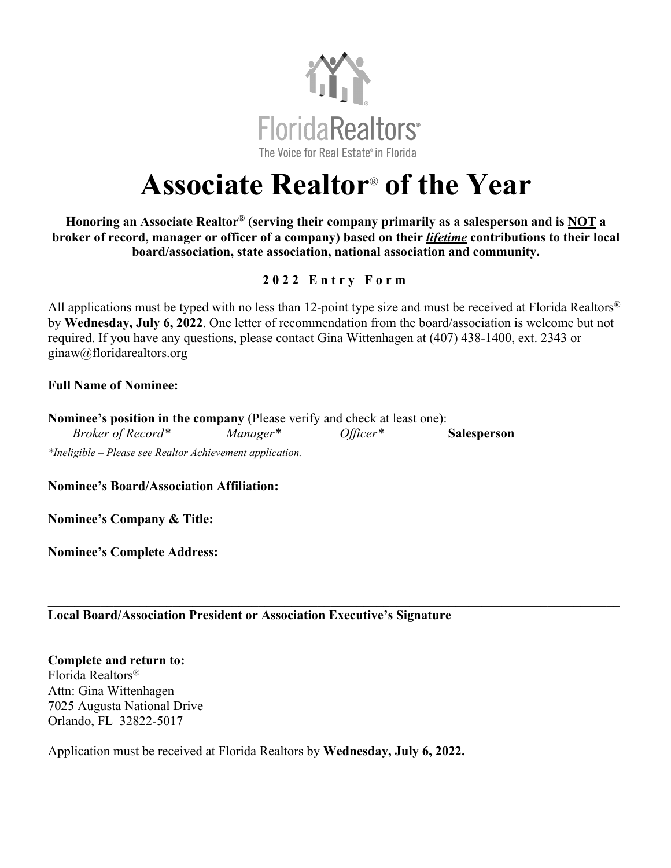

## **Associate Realtor**® **of the Year**

**Honoring an Associate Realtor® (serving their company primarily as a salesperson and is NOT a broker of record, manager or officer of a company) based on their** *lifetime* **contributions to their local board/association, state association, national association and community.**

## **2 0 2 2 Entry Form**

All applications must be typed with no less than 12-point type size and must be received at Florida Realtors<sup>®</sup> by **Wednesday, July 6, 2022**. One letter of recommendation from the board/association is welcome but not required. If you have any questions, please contact Gina Wittenhagen at (407) 438-1400, ext. 2343 or ginaw@floridarealtors.org

## **Full Name of Nominee:**

**Nominee's position in the company** (Please verify and check at least one): *Broker of Record\* Manager\* Officer\** **Salesperson** *\*Ineligible – Please see Realtor Achievement application.*

**Nominee's Board/Association Affiliation:**

**Nominee's Company & Title:** 

**Nominee's Complete Address:**

**\_\_\_\_\_\_\_\_\_\_\_\_\_\_\_\_\_\_\_\_\_\_\_\_\_\_\_\_\_\_\_\_\_\_\_\_\_\_\_\_\_\_\_\_\_\_\_\_\_\_\_\_\_\_\_\_\_\_\_\_\_\_\_\_\_\_\_\_\_\_\_\_\_\_\_\_\_\_\_\_\_\_\_\_\_\_\_ Local Board/Association President or Association Executive's Signature**

**Complete and return to:**  Florida Realtors® Attn: Gina Wittenhagen 7025 Augusta National Drive Orlando, FL 32822-5017

Application must be received at Florida Realtors by **Wednesday, July 6, 2022.**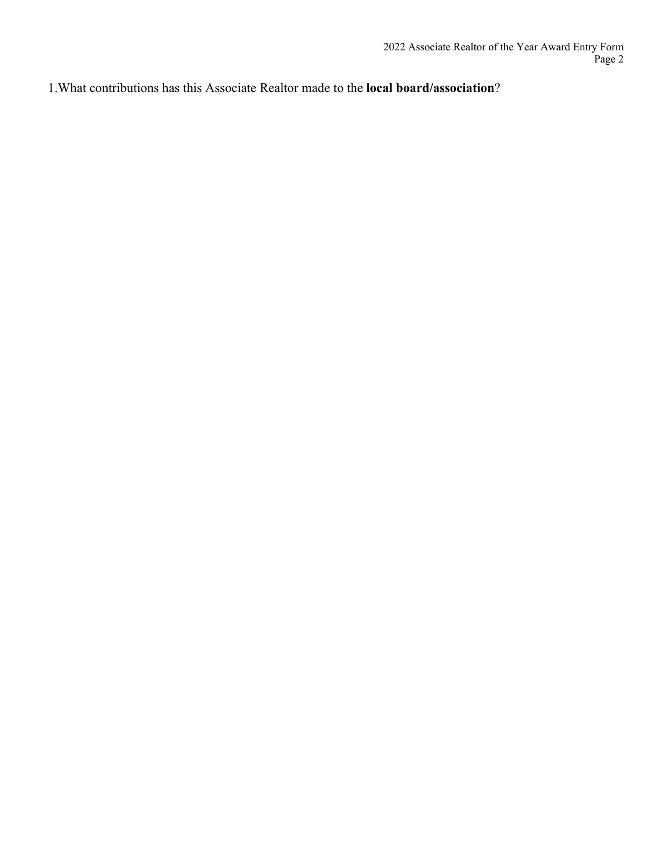1.What contributions has this Associate Realtor made to the **local board/association**?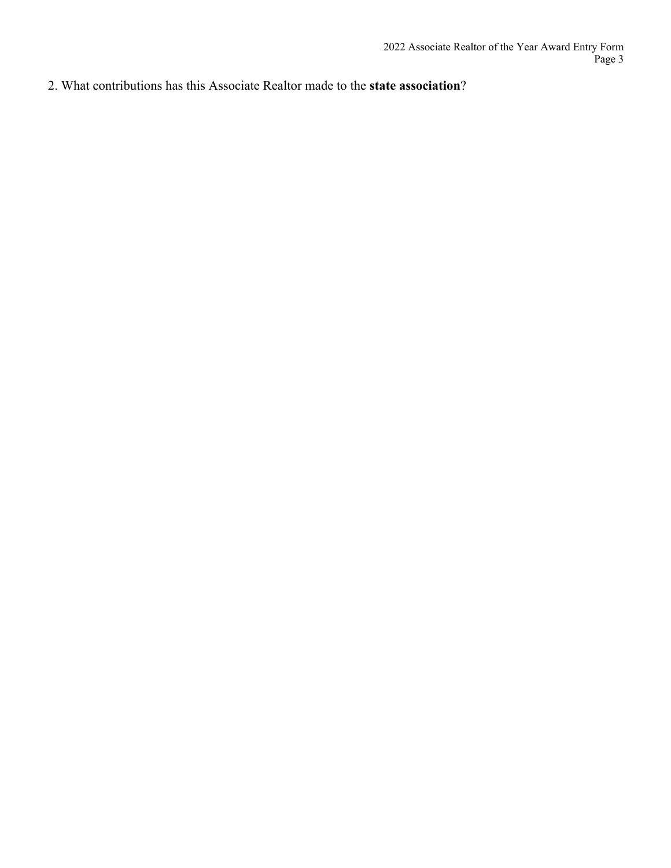2. What contributions has this Associate Realtor made to the **state association**?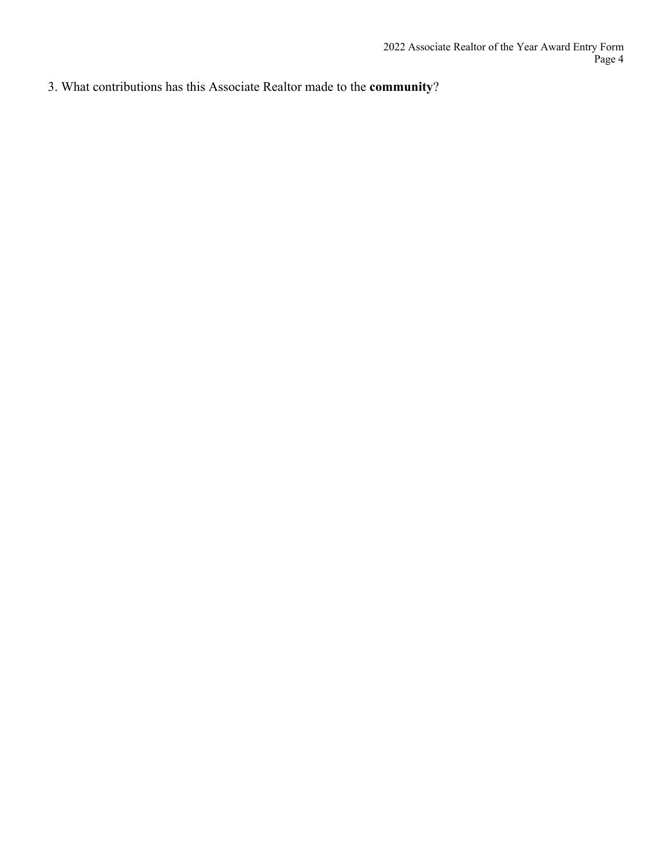3. What contributions has this Associate Realtor made to the **community**?